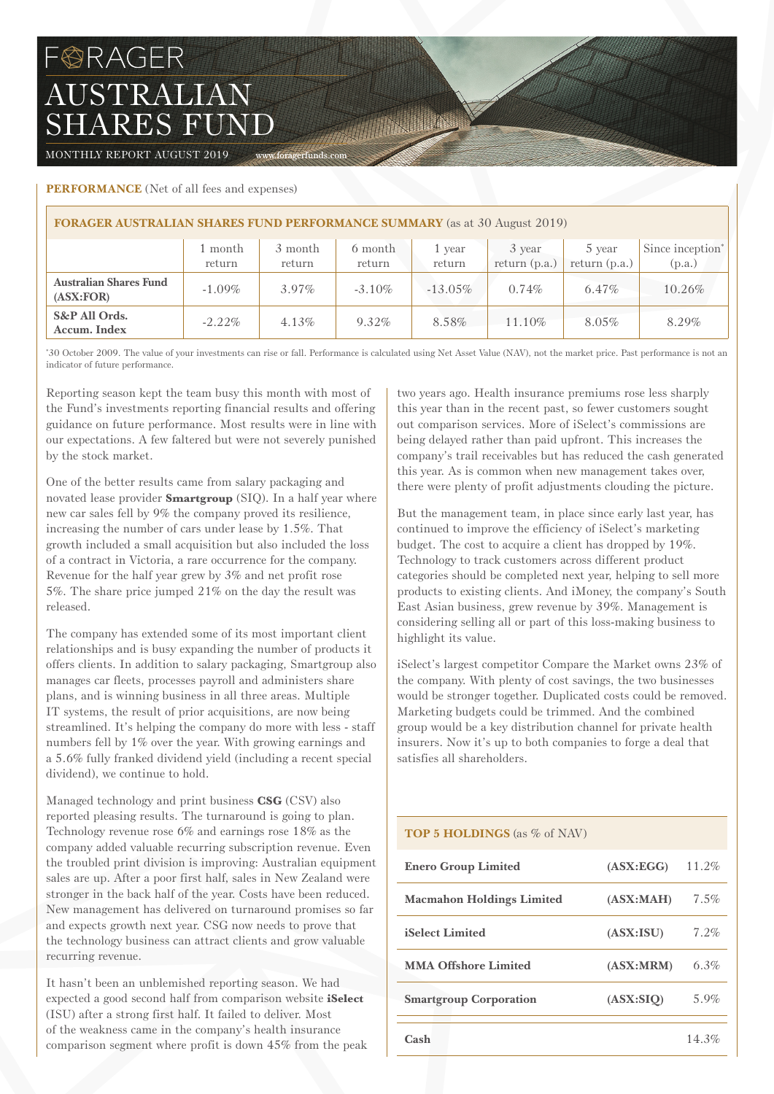# FORAGER AUSTRALIAN SHARES FUND

MONTHLY REPORT AUGUST 2019 www.foragerfunds.com

## **PERFORMANCE** (Net of all fees and expenses)

| <b>FORAGER AUSTRALIAN SHARES FUND PERFORMANCE SUMMARY</b> (as at 30 August 2019) |                   |                   |                   |                  |                           |                           |                                        |  |  |
|----------------------------------------------------------------------------------|-------------------|-------------------|-------------------|------------------|---------------------------|---------------------------|----------------------------------------|--|--|
|                                                                                  | 1 month<br>return | 3 month<br>return | 6 month<br>return | 1 year<br>return | 3 year<br>return $(p.a.)$ | 5 year<br>return $(p.a.)$ | Since inception <sup>*</sup><br>(p.a.) |  |  |
| <b>Australian Shares Fund</b><br>(ASK:FOR)                                       | $-1.09\%$         | $3.97\%$          | $-3.10\%$         | $-13.05\%$       | $0.74\%$                  | $6.47\%$                  | 10.26%                                 |  |  |
| S&P All Ords.<br>Accum. Index                                                    | $-2.22\%$         | $4.13\%$          | 9.32%             | 8.58%            | $11.10\%$                 | 8.05%                     | 8.29%                                  |  |  |

The Committee

\* 30 October 2009. The value of your investments can rise or fall. Performance is calculated using Net Asset Value (NAV), not the market price. Past performance is not an indicator of future performance.

Reporting season kept the team busy this month with most of the Fund's investments reporting financial results and offering guidance on future performance. Most results were in line with our expectations. A few faltered but were not severely punished by the stock market.

One of the better results came from salary packaging and novated lease provider **Smartgroup** (SIQ). In a half year where new car sales fell by 9% the company proved its resilience, increasing the number of cars under lease by 1.5%. That growth included a small acquisition but also included the loss of a contract in Victoria, a rare occurrence for the company. Revenue for the half year grew by 3% and net profit rose 5%. The share price jumped 21% on the day the result was released.

The company has extended some of its most important client relationships and is busy expanding the number of products it offers clients. In addition to salary packaging, Smartgroup also manages car fleets, processes payroll and administers share plans, and is winning business in all three areas. Multiple IT systems, the result of prior acquisitions, are now being streamlined. It's helping the company do more with less - staff numbers fell by 1% over the year. With growing earnings and a 5.6% fully franked dividend yield (including a recent special dividend), we continue to hold.

Managed technology and print business **CSG** (CSV) also reported pleasing results. The turnaround is going to plan. Technology revenue rose 6% and earnings rose 18% as the company added valuable recurring subscription revenue. Even the troubled print division is improving: Australian equipment sales are up. After a poor first half, sales in New Zealand were stronger in the back half of the year. Costs have been reduced. New management has delivered on turnaround promises so far and expects growth next year. CSG now needs to prove that the technology business can attract clients and grow valuable recurring revenue.

It hasn't been an unblemished reporting season. We had expected a good second half from comparison website **iSelect** (ISU) after a strong first half. It failed to deliver. Most of the weakness came in the company's health insurance comparison segment where profit is down 45% from the peak two years ago. Health insurance premiums rose less sharply this year than in the recent past, so fewer customers sought out comparison services. More of iSelect's commissions are being delayed rather than paid upfront. This increases the company's trail receivables but has reduced the cash generated this year. As is common when new management takes over, there were plenty of profit adjustments clouding the picture.

But the management team, in place since early last year, has continued to improve the efficiency of iSelect's marketing budget. The cost to acquire a client has dropped by 19%. Technology to track customers across different product categories should be completed next year, helping to sell more products to existing clients. And iMoney, the company's South East Asian business, grew revenue by 39%. Management is considering selling all or part of this loss-making business to highlight its value.

iSelect's largest competitor Compare the Market owns 23% of the company. With plenty of cost savings, the two businesses would be stronger together. Duplicated costs could be removed. Marketing budgets could be trimmed. And the combined group would be a key distribution channel for private health insurers. Now it's up to both companies to forge a deal that satisfies all shareholders.

### **TOP 5 HOLDINGS** (as % of NAV)

| <b>Enero Group Limited</b>       | (ASK:EGG) | $11.2\%$ |
|----------------------------------|-----------|----------|
| <b>Macmahon Holdings Limited</b> | (ASK:MAH) | $7.5\%$  |
| <b>iSelect Limited</b>           | (ASK:ISU) | 7.2%     |
| <b>MMA Offshore Limited</b>      | (ASK:MRM) | 6.3%     |
| <b>Smartgroup Corporation</b>    | (ASX:SIO) | 5.9%     |
| Cash                             |           | 14.3%    |